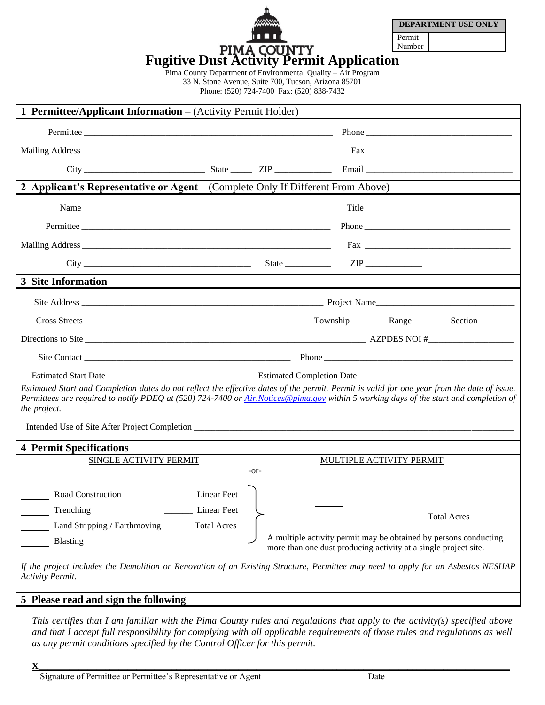|                                                  |        | <b>DEPARTMENT USE ONLY</b> |  |  |  |
|--------------------------------------------------|--------|----------------------------|--|--|--|
| <b>11911</b>                                     | Permit |                            |  |  |  |
| <b>PIMA COUNTY</b>                               | Number |                            |  |  |  |
| <b>Fugitive Dust Activity Permit Application</b> |        |                            |  |  |  |

Pima County Department of Environmental Quality – Air Program 33 N. Stone Avenue, Suite 700, Tucson, Arizona 85701 Phone: (520) 724-7400 Fax: (520) 838-7432

| 1 Permittee/Applicant Information - (Activity Permit Holder)                                                                                                                                                                                                                                                                                                                                                                                                                                               |                               |        |  |                          |       |  |  |  |
|------------------------------------------------------------------------------------------------------------------------------------------------------------------------------------------------------------------------------------------------------------------------------------------------------------------------------------------------------------------------------------------------------------------------------------------------------------------------------------------------------------|-------------------------------|--------|--|--------------------------|-------|--|--|--|
|                                                                                                                                                                                                                                                                                                                                                                                                                                                                                                            | Permittee                     |        |  |                          |       |  |  |  |
|                                                                                                                                                                                                                                                                                                                                                                                                                                                                                                            |                               |        |  |                          |       |  |  |  |
|                                                                                                                                                                                                                                                                                                                                                                                                                                                                                                            |                               |        |  |                          |       |  |  |  |
| 2 Applicant's Representative or Agent – (Complete Only If Different From Above)                                                                                                                                                                                                                                                                                                                                                                                                                            |                               |        |  |                          |       |  |  |  |
|                                                                                                                                                                                                                                                                                                                                                                                                                                                                                                            |                               |        |  |                          | Title |  |  |  |
|                                                                                                                                                                                                                                                                                                                                                                                                                                                                                                            |                               |        |  |                          |       |  |  |  |
|                                                                                                                                                                                                                                                                                                                                                                                                                                                                                                            |                               |        |  |                          |       |  |  |  |
|                                                                                                                                                                                                                                                                                                                                                                                                                                                                                                            | $City$ State State            |        |  |                          |       |  |  |  |
| 3 Site Information                                                                                                                                                                                                                                                                                                                                                                                                                                                                                         |                               |        |  |                          |       |  |  |  |
|                                                                                                                                                                                                                                                                                                                                                                                                                                                                                                            |                               |        |  |                          |       |  |  |  |
|                                                                                                                                                                                                                                                                                                                                                                                                                                                                                                            |                               |        |  |                          |       |  |  |  |
|                                                                                                                                                                                                                                                                                                                                                                                                                                                                                                            |                               |        |  |                          |       |  |  |  |
|                                                                                                                                                                                                                                                                                                                                                                                                                                                                                                            |                               |        |  |                          |       |  |  |  |
|                                                                                                                                                                                                                                                                                                                                                                                                                                                                                                            |                               |        |  |                          |       |  |  |  |
| Estimated Start and Completion dates do not reflect the effective dates of the permit. Permit is valid for one year from the date of issue.<br>Permittees are required to notify PDEQ at (520) 724-7400 or Air.Notices@pima.gov within 5 working days of the start and completion of<br>the project.                                                                                                                                                                                                       |                               |        |  |                          |       |  |  |  |
|                                                                                                                                                                                                                                                                                                                                                                                                                                                                                                            |                               |        |  |                          |       |  |  |  |
| <b>4 Permit Specifications</b>                                                                                                                                                                                                                                                                                                                                                                                                                                                                             |                               |        |  |                          |       |  |  |  |
|                                                                                                                                                                                                                                                                                                                                                                                                                                                                                                            | <b>SINGLE ACTIVITY PERMIT</b> | $-0r-$ |  | MULTIPLE ACTIVITY PERMIT |       |  |  |  |
| Linear Feet<br>Road Construction<br>Trenching<br><b>Linear Feet</b><br><b>Total Acres</b><br><b>Total Acres</b><br>Land Stripping / Earthmoving<br>A multiple activity permit may be obtained by persons conducting<br><b>Blasting</b><br>more than one dust producing activity at a single project site.<br>If the project includes the Demolition or Renovation of an Existing Structure, Permittee may need to apply for an Asbestos NESHAP<br>Activity Permit.<br>5 Please read and sign the following |                               |        |  |                          |       |  |  |  |
|                                                                                                                                                                                                                                                                                                                                                                                                                                                                                                            |                               |        |  |                          |       |  |  |  |

*This certifies that I am familiar with the Pima County rules and regulations that apply to the activity(s) specified above and that I accept full responsibility for complying with all applicable requirements of those rules and regulations as well as any permit conditions specified by the Control Officer for this permit.*

 $\mathbf{X}_\perp$  , and the set of the set of the set of the set of the set of the set of the set of the set of the set of the set of the set of the set of the set of the set of the set of the set of the set of the set of the s